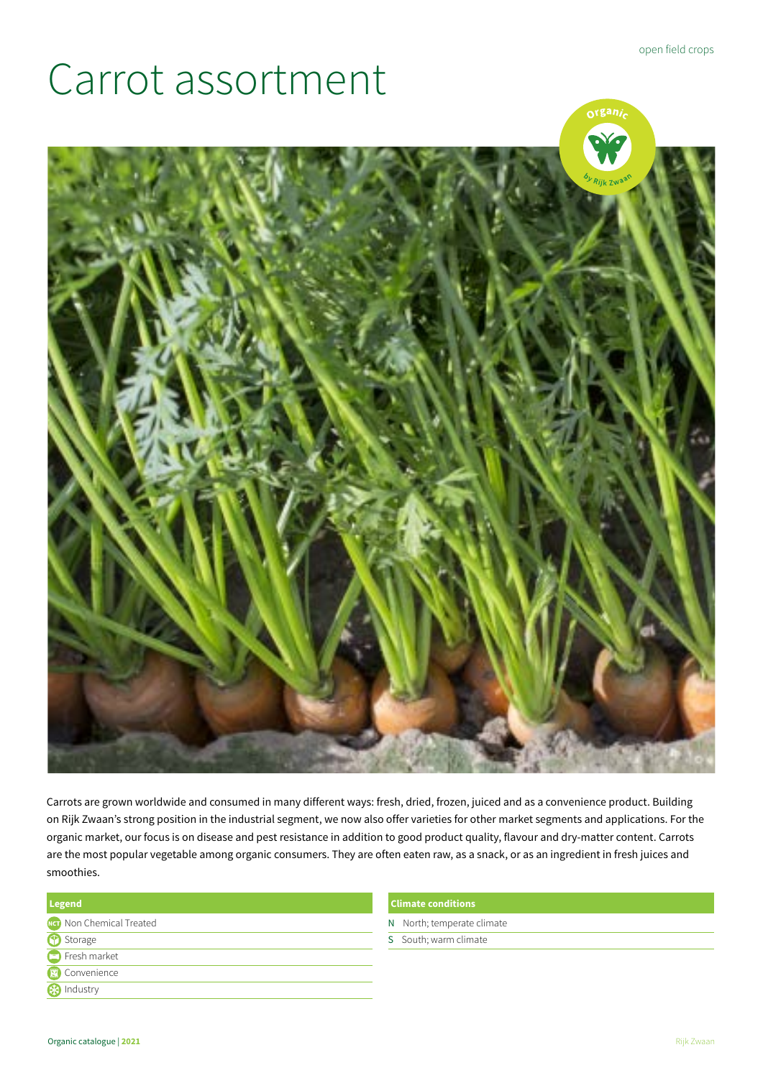## Carrot assortment



Carrots are grown worldwide and consumed in many different ways: fresh, dried, frozen, juiced and as a convenience product. Building on Rijk Zwaan's strong position in the industrial segment, we now also offer varieties for other market segments and applications. For the organic market, our focus is on disease and pest resistance in addition to good product quality, flavour and dry-matter content. Carrots are the most popular vegetable among organic consumers. They are often eaten raw, as a snack, or as an ingredient in fresh juices and smoothies.

| <b>Legend</b>                   |  |
|---------------------------------|--|
| <b>Net</b> Non Chemical Treated |  |
| <sup>1</sup> Storage            |  |
| Fresh market                    |  |
| Convenience                     |  |
| <b>B</b> Industry               |  |

## **Climate conditions**

- N North; temperate climate
- S South; warm climate